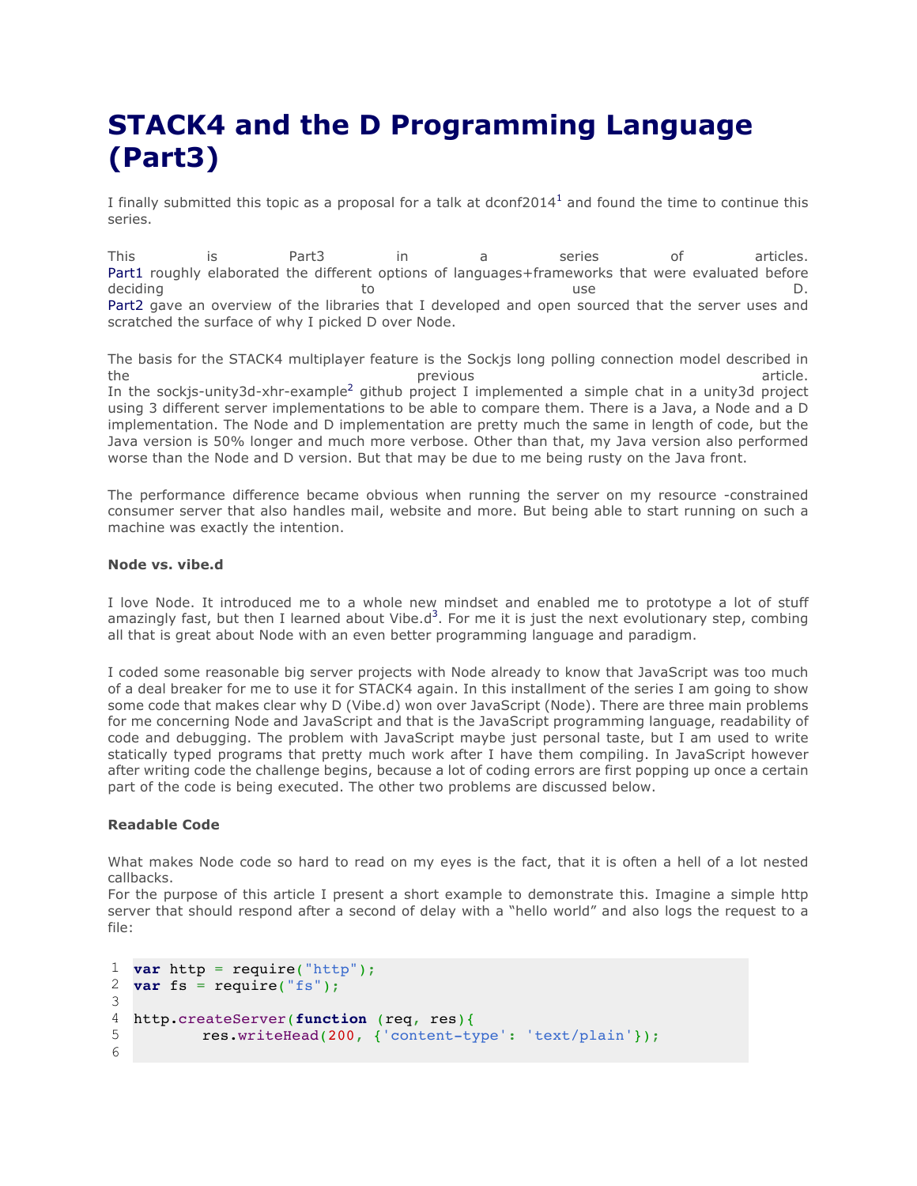## **STACK4 and the D Programming Language (Part3)**

I finally submitted this topic as a proposal for a talk at  $d$ conf2014<sup>1</sup> and found the time to continue this series.

This is Part3 in a series of articles. Part1 roughly elaborated the different options of languages+frameworks that were evaluated before deciding to the boost of the control of the deciding to the boost of the boost of the boost  $\mathsf D$ . Part2 gave an overview of the libraries that I developed and open sourced that the server uses and scratched the surface of why I picked D over Node.

The basis for the STACK4 multiplayer feature is the Sockjs long polling connection model described in the the previous article. The previous article. In the sockjs-unity3d-xhr-example<sup>2</sup> github project I implemented a simple chat in a unity3d project using 3 different server implementations to be able to compare them. There is a Java, a Node and a D implementation. The Node and D implementation are pretty much the same in length of code, but the Java version is 50% longer and much more verbose. Other than that, my Java version also performed worse than the Node and D version. But that may be due to me being rusty on the Java front.

The performance difference became obvious when running the server on my resource -constrained consumer server that also handles mail, website and more. But being able to start running on such a machine was exactly the intention.

## **Node vs. vibe.d**

I love Node. It introduced me to a whole new mindset and enabled me to prototype a lot of stuff amazingly fast, but then I learned about Vibe.d<sup>3</sup>. For me it is just the next evolutionary step, combing all that is great about Node with an even better programming language and paradigm.

I coded some reasonable big server projects with Node already to know that JavaScript was too much of a deal breaker for me to use it for STACK4 again. In this installment of the series I am going to show some code that makes clear why D (Vibe.d) won over JavaScript (Node). There are three main problems for me concerning Node and JavaScript and that is the JavaScript programming language, readability of code and debugging. The problem with JavaScript maybe just personal taste, but I am used to write statically typed programs that pretty much work after I have them compiling. In JavaScript however after writing code the challenge begins, because a lot of coding errors are first popping up once a certain part of the code is being executed. The other two problems are discussed below.

## **Readable Code**

What makes Node code so hard to read on my eyes is the fact, that it is often a hell of a lot nested callbacks.

For the purpose of this article I present a short example to demonstrate this. Imagine a simple http server that should respond after a second of delay with a "hello world" and also logs the request to a file:

```
1
var http = require("http");
2
3
4
5
6
  var fs = require("fs");
  http.createServer(function (req, res){
          res.writeHead(200, {'content-type': 'text/plain'});
```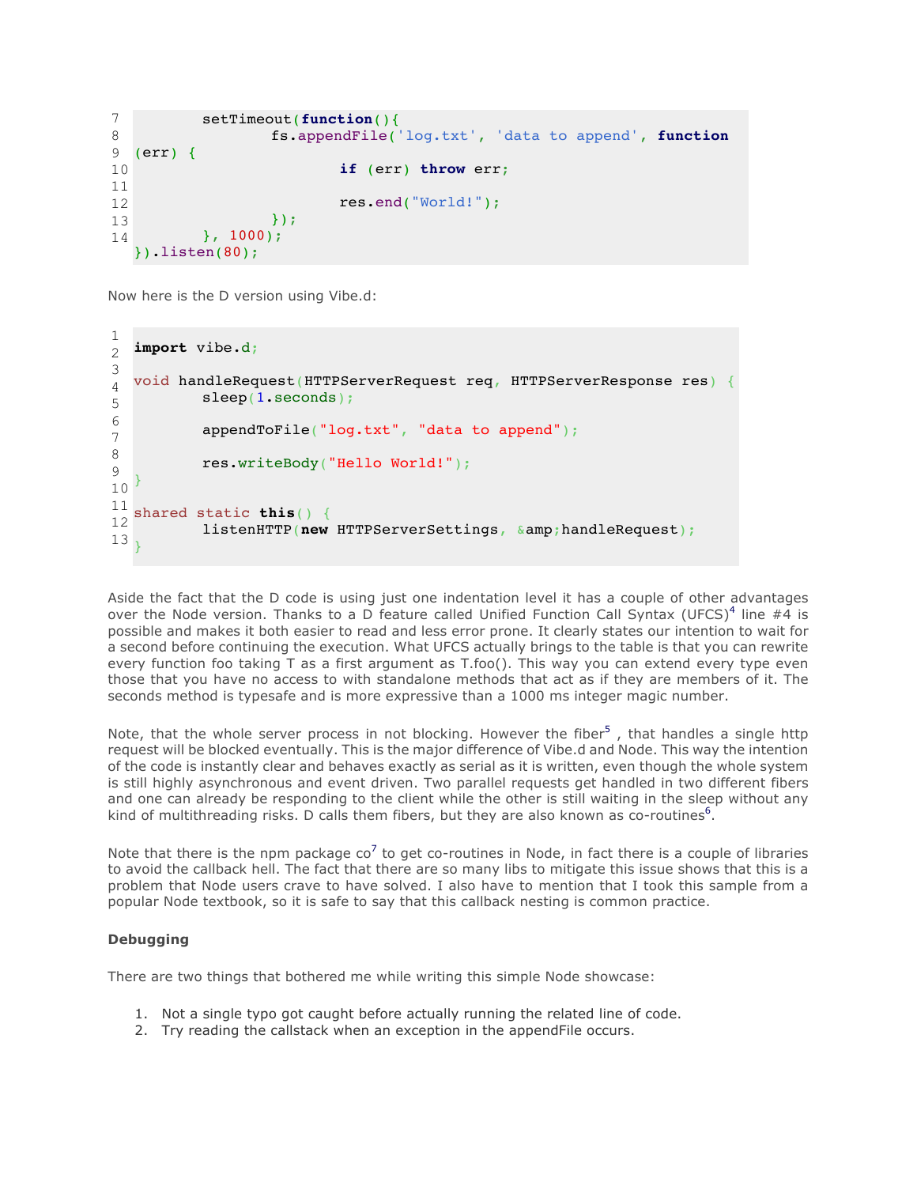```
7
8
9
10
11
12
13
14
          setTimeout(function(){
                   fs.appendFile('log.txt', 'data to append', function
  (err) {
                           if (err) throw err;
                           res.end("World!");
                   });
          }, 1000);
  }).listen(80);
```
Now here is the D version using Vibe.d:

```
1
\mathcal{L}3
4
5
6
7
8
9
10
11
12
13
  import vibe.d;
  void handleRequest(HTTPServerRequest req, HTTPServerResponse res) {
          sleep(1.seconds);
          appendToFile("log.txt", "data to append");
          res.writeBody("Hello World!");
  }
  shared static this() {
          listenHTTP(new HTTPServerSettings, &handleRequest);
  }
```
Aside the fact that the D code is using just one indentation level it has a couple of other advantages over the Node version. Thanks to a D feature called Unified Function Call Syntax (UFCS)<sup>4</sup> line #4 is possible and makes it both easier to read and less error prone. It clearly states our intention to wait for a second before continuing the execution. What UFCS actually brings to the table is that you can rewrite every function foo taking T as a first argument as T.foo(). This way you can extend every type even those that you have no access to with standalone methods that act as if they are members of it. The seconds method is typesafe and is more expressive than a 1000 ms integer magic number.

Note, that the whole server process in not blocking. However the fiber<sup>5</sup>, that handles a single http request will be blocked eventually. This is the major difference of Vibe.d and Node. This way the intention of the code is instantly clear and behaves exactly as serial as it is written, even though the whole system is still highly asynchronous and event driven. Two parallel requests get handled in two different fibers and one can already be responding to the client while the other is still waiting in the sleep without any kind of multithreading risks. D calls them fibers, but they are also known as co-routines<sup>6</sup>.

Note that there is the npm package  $co<sup>7</sup>$  to get co-routines in Node, in fact there is a couple of libraries to avoid the callback hell. The fact that there are so many libs to mitigate this issue shows that this is a problem that Node users crave to have solved. I also have to mention that I took this sample from a popular Node textbook, so it is safe to say that this callback nesting is common practice.

## **Debugging**

There are two things that bothered me while writing this simple Node showcase:

- 1. Not a single typo got caught before actually running the related line of code.
- 2. Try reading the callstack when an exception in the appendFile occurs.